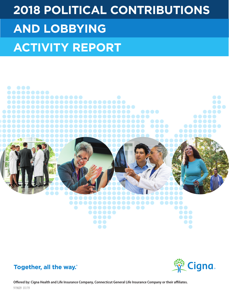# **2018 POLITICAL CONTRIBUTIONS AND LOBBYING ACTIVITY REPORT**







Offered by: Cigna Health and Life Insurance Company, Connecticut General Life Insurance Company or their affiliates. 919609 01/19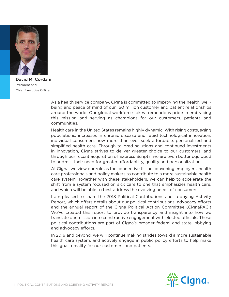

David M. Cordani President and Chief Executive Officer

As a health service company, Cigna is committed to improving the health, wellbeing and peace of mind of our 160 million customer and patient relationships around the world. Our global workforce takes tremendous pride in embracing this mission and serving as champions for our customers, patients and communities.

Health care in the United States remains highly dynamic. With rising costs, aging populations, increases in chronic disease and rapid technological innovation, individual consumers now more than ever seek affordable, personalized and simplified health care. Through tailored solutions and continued investments in innovation, Cigna strives to deliver greater choice to our customers, and through our recent acquisition of Express Scripts, we are even better equipped to address their need for greater affordability, quality and personalization.

At Cigna, we view our role as the connective tissue convening employers, health care professionals and policy makers to contribute to a more sustainable health care system. Together with these stakeholders, we can help to accelerate the shift from a system focused on sick care to one that emphasizes health care, and which will be able to best address the evolving needs of consumers.

I am pleased to share the 2018 Political Contributions and Lobbying Activity Report, which offers details about our political contributions, advocacy efforts and the annual report of the Cigna Political Action Committee (CignaPAC.) We've created this report to provide transparency and insight into how we translate our mission into constructive engagement with elected officials. These political contributions are part of Cigna's broader federal and state lobbying and advocacy efforts.

In 2019 and beyond, we will continue making strides toward a more sustainable health care system, and actively engage in public policy efforts to help make this goal a reality for our customers and patients.

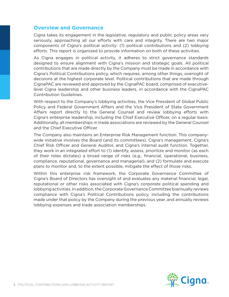### **Overview and Governance**

Cigna takes its engagement in the legislative, regulatory and public policy areas very seriously, approaching all our efforts with care and integrity. There are two major components of Cigna's political activity: (1) political contributions and (2) lobbying efforts. This report is organized to provide information on both of these activities.

As Cigna engages in political activity, it adheres to strict governance standards designed to ensure alignment with Cigna's mission and strategic goals. All political contributions that are made directly by the Company must be made in accordance with Cigna's Political Contributions policy, which requires, among other things, oversight of decisions at the highest corporate level. Political contributions that are made through CignaPAC are reviewed and approved by the CignaPAC board, comprised of executivelevel Cigna leadership and other business leaders, in accordance with the CignaPAC Contribution Guidelines.

With respect to the Company's lobbying activities, the Vice President of Global Public Policy and Federal Government Affairs and the Vice President of State Government Affairs report directly to the General Counsel and review lobbying efforts with Cigna's enterprise leadership, including the Chief Executive Officer, on a regular basis. Additionally, all memberships in trade associations are reviewed by the General Counsel and the Chief Executive Officer.

The Company also maintains an Enterprise Risk Management function. This companywide initiative involves the Board (and its committees), Cigna's management, Cigna's Chief Risk Officer and General Auditor, and Cigna's internal audit function. Together, they work in an integrated effort to (1) identify, assess, prioritize and monitor (as each of their roles dictates) a broad range of risks (e.g., financial, operational, business, compliance, reputational, governance and managerial), and (2) formulate and execute plans to monitor and, to the extent possible, mitigate the effect of those risks.

Within this enterprise risk framework, the Corporate Governance Committee of Cigna's Board of Directors has oversight of and evaluates any material financial, legal, reputational or other risks associated with Cigna's corporate political spending and lobbying activities. In addition, the Corporate Governance Committee biannually reviews compliance with Cigna's Political Contributions policy, including the contributions made under that policy by the Company during the previous year, and annually reviews lobbying expenses and trade association memberships.

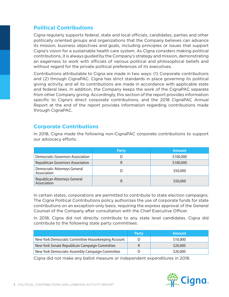# **Political Contributions**

Cigna regularly supports federal, state and local officials, candidates, parties and other politically oriented groups and organizations that the Company believes can advance its mission, business objectives and goals, including principles or issues that support Cigna's vision for a sustainable health care system. As Cigna considers making political contributions, it is always guided by the Company's strategy and mission, demonstrating an eagerness to work with officials of various political and philosophical beliefs and without regard for the private political preferences of its executives.

Contributions attributable to Cigna are made in two ways: (1) Corporate contributions and (2) through CignaPAC. Cigna has strict standards in place governing its political giving activity, and all its contributions are made in accordance with applicable state and federal laws. In addition, the Company keeps the work of the CignaPAC separate from other Company giving. Accordingly, this section of the report provides information specific to Cigna's direct corporate contributions, and the 2018 CignaPAC Annual Report at the end of the report provides information regarding contributions made through CignaPAC.

## **Corporate Contributions**

|                                             | 'Party | <b>Amount</b> |
|---------------------------------------------|--------|---------------|
| <b>Democratic Governors Association</b>     |        | \$100,000     |
| <b>Republican Governors Association</b>     |        | \$100,000     |
| Democratic Attorneys General<br>Association |        | \$50,000      |
| Republican Attorneys General<br>Association |        | \$50,000      |

In 2018, Cigna made the following non-CignaPAC corporate contributions to support our advocacy efforts.

In certain states, corporations are permitted to contribute to state election campaigns. The Cigna Political Contributions policy authorizes the use of corporate funds for state contributions on an exception-only basis, requiring the express approval of the General Counsel of the Company after consultation with the Chief Executive Officer.

In 2018, Cigna did not directly contribute to any state level candidates. Cigna did contribute to the following state party committees:

|                                                    | <b>Party</b> | Amount   |
|----------------------------------------------------|--------------|----------|
| New York Democratic Committee Housekeeping Account |              | \$10,000 |
| New York Senate Republican Campaign Committee      |              | \$20,000 |
| New York Democratic Assembly Campaign Committee    |              | \$20,000 |

Cigna did not make any ballot measure or independent expenditures in 2018.

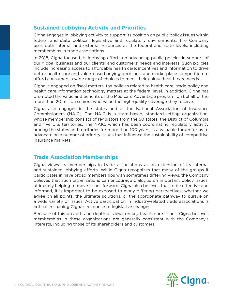## **Sustained Lobbying Activity and Priorities**

Cigna engages in lobbying activity to support its position on public policy issues within federal and state political, legislative and regulatory environments. The Company uses both internal and external resources at the federal and state levels, including memberships in trade associations.

In 2018, Cigna focused its lobbying efforts on advancing public policies in support of our global business and our clients' and customers' needs and interests. Such policies include increasing access to affordable health care; incentives and information to drive better health care and value-based buying decisions; and marketplace competition to afford consumers a wide range of choices to meet their unique health care needs.

Cigna is engaged on fiscal matters, tax policies related to health care, trade policy and health care information technology matters at the federal level. In addition, Cigna has promoted the value and benefits of the Medicare Advantage program, on behalf of the more than 20 million seniors who value the high-quality coverage they receive.

Cigna also engages in the states and at the National Association of Insurance Commissioners (NAIC). The NAIC is a state-based, standard-setting organization, whose membership consists of regulators from the 50 states, the District of Columbia and five U.S. territories. The NAIC, which has been coordinating regulatory activity among the states and territories for more than 100 years, is a valuable forum for us to advocate on a number of priority issues that influence the sustainability of competitive insurance markets.

## **Trade Association Memberships**

Cigna views its memberships in trade associations as an extension of its internal and sustained lobbying efforts. While Cigna recognizes that many of the groups it participates in have broad memberships with sometimes differing views, the Company believes that such organizations can encourage dialogue on important policy issues, ultimately helping to move issues forward. Cigna also believes that to be effective and informed, it is important to be exposed to many differing perspectives, whether we agree on all points, the ultimate solutions, or the appropriate pathway to pursue on a wide variety of issues. Active participation in industry-related trade associations is critical in shaping Cigna's response to legislative changes.

Because of this breadth and depth of views on key health care issues, Cigna believes memberships in these organizations are generally consistent with the Company's interests, including those of its shareholders and customers.

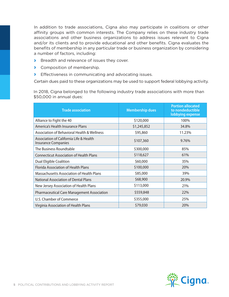In addition to trade associations, Cigna also may participate in coalitions or other affinity groups with common interests. The Company relies on these industry trade associations and other business organizations to address issues relevant to Cigna and/or its clients and to provide educational and other benefits. Cigna evaluates the benefits of membership in any particular trade or business organization by considering a number of factors, including:

- **›** Breadth and relevance of issues they cover.
- **›** Composition of membership.
- **›** Effectiveness in communicating and advocating issues.

Certain dues paid to these organizations may be used to support federal lobbying activity.

In 2018, Cigna belonged to the following industry trade associations with more than \$50,000 in annual dues:

| <b>Trade association</b>                                              | <b>Membership dues</b> | <b>Portion allocated</b><br>to nondeductible<br>lobbying expense |
|-----------------------------------------------------------------------|------------------------|------------------------------------------------------------------|
| Alliance to Fight the 40                                              | \$120,000              | 100%                                                             |
| America's Health Insurance Plans                                      | \$1,245,852            | 34.8%                                                            |
| Association of Behavioral Health & Wellness                           | \$95,860               | 11.23%                                                           |
| Association of California Life & Health<br><b>Insurance Companies</b> | \$107,360              | 9.76%                                                            |
| The Business Roundtable                                               | \$300,000              | 85%                                                              |
| <b>Connecticut Association of Health Plans</b>                        | \$118,627              | 61%                                                              |
| Dual Eligible Coalition                                               | \$60,000               | 35%                                                              |
| <b>Florida Association of Health Plans</b>                            | \$100,000              | 20%                                                              |
| Massachusetts Association of Health Plans                             | \$85,000               | 39%                                                              |
| <b>National Association of Dental Plans</b>                           | \$68,900               | 20.9%                                                            |
| New Jersey Association of Health Plans                                | \$113,000              | 21%                                                              |
| <b>Pharmaceutical Care Management Association</b>                     | \$559,848              | 22%                                                              |
| U.S. Chamber of Commerce                                              | \$355,000              | 25%                                                              |
| Virginia Association of Health Plans                                  | \$79,030               | 20%                                                              |

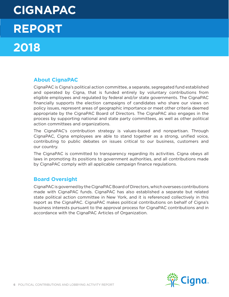# **CIGNAPAC REPORT 2018**

# **About CignaPAC**

CignaPAC is Cigna's political action committee, a separate, segregated fund established and operated by Cigna, that is funded entirely by voluntary contributions from eligible employees and regulated by federal and/or state governments. The CignaPAC financially supports the election campaigns of candidates who share our views on policy issues, represent areas of geographic importance or meet other criteria deemed appropriate by the CignaPAC Board of Directors. The CignaPAC also engages in the process by supporting national and state party committees, as well as other political action committees and organizations.

The CignaPAC's contribution strategy is values-based and nonpartisan. Through CignaPAC, Cigna employees are able to stand together as a strong, unified voice, contributing to public debates on issues critical to our business, customers and our country.

The CignaPAC is committed to transparency regarding its activities. Cigna obeys all laws in promoting its positions to government authorities, and all contributions made by CignaPAC comply with all applicable campaign finance regulations.

## **Board Oversight**

CignaPAC is governed by the CignaPAC Board of Directors, which oversees contributions made with CignaPAC funds. CignaPAC has also established a separate but related state political action committee in New York, and it is referenced collectively in this report as the CignaPAC. CignaPAC makes political contributions on behalf of Cigna's business interests pursuant to the approval process for CignaPAC contributions and in accordance with the CignaPAC Articles of Organization.

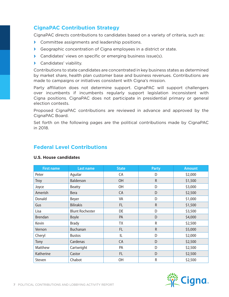## **CignaPAC Contribution Strategy**

CignaPAC directs contributions to candidates based on a variety of criteria, such as:

- **›** Committee assignments and leadership positions.
- **›** Geographic concentration of Cigna employees in a district or state.
- **›** Candidates' views on specific or emerging business issue(s).
- **›** Candidates' viability.

Contributions to state candidates are concentrated in key business states as determined by market share, health plan customer base and business revenues. Contributions are made to campaigns or initiatives consistent with Cigna's mission.

Party affiliation does not determine support. CignaPAC will support challengers over incumbents if incumbents regularly support legislation inconsistent with Cigna positions. CignaPAC does not participate in presidential primary or general election contests.

Proposed CignaPAC contributions are reviewed in advance and approved by the CignaPAC Board.

Set forth on the following pages are the political contributions made by CignaPAC in 2018.

## **Federal Level Contributions**

| <b>First name</b> | <b>Last name</b>       | <b>State</b> | <b>Party</b> | <b>Amount</b> |
|-------------------|------------------------|--------------|--------------|---------------|
| Peter             | Aguilar                | CA           | D            | \$2,000       |
| <b>Troy</b>       | Balderson              | OH           | $\mathsf R$  | \$1,500       |
| Joyce             | <b>Beatty</b>          | OH           | D            | \$3,000       |
| Amerish           | <b>Bera</b>            | CA           | D            | \$2,500       |
| Donald            | Beyer                  | VA           | D            | \$1,000       |
| Gus               | <b>Bilirakis</b>       | FL.          | R            | \$1,500       |
| Lisa              | <b>Blunt Rochester</b> | DE           | D            | \$3,500       |
| <b>Brendan</b>    | <b>Boyle</b>           | PA           | D            | \$4,000       |
| Kevin             | <b>Brady</b>           | <b>TX</b>    | R            | \$2,500       |
| Vernon            | <b>Buchanan</b>        | FL.          | $\mathsf R$  | \$5,000       |
| Cheryl            | <b>Bustos</b>          | IL           | D            | \$2,000       |
| Tony              | Cardenas               | CA           | D            | \$2,500       |
| Matthew           | Cartwright             | PA           | D            | \$2,500       |
| Katherine         | Castor                 | FL.          | D            | \$2,500       |
| Steven            | Chabot                 | OH           | R            | \$2,500       |

#### **U.S. House candidates**

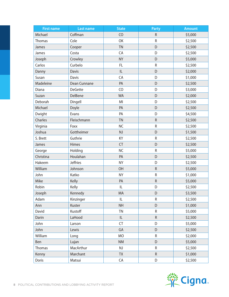| <b>First name</b> | <b>Last name</b> | <b>State</b> | Party     | <b>Amount</b> |
|-------------------|------------------|--------------|-----------|---------------|
| Michael           | Coffman          | CO           | ${\sf R}$ | \$5,000       |
| Thomas            | Cole             | OK           | ${\sf R}$ | \$2,500       |
| James             | Cooper           | <b>TN</b>    | D         | \$2,500       |
| James             | Costa            | CA           | D         | \$2,500       |
| Joseph            | Crowley          | <b>NY</b>    | D         | \$5,000       |
| Carlos            | Curbelo          | FL.          | ${\sf R}$ | \$2,500       |
| Danny             | <b>Davis</b>     | IL           | D         | \$2,000       |
| Susan             | <b>Davis</b>     | CA           | D         | \$1,000       |
| Madeleine         | Dean Cunnane     | PA           | D         | \$2,500       |
| Diana             | <b>DeGette</b>   | CO           | D         | \$3,000       |
| Suzan             | DelBene          | <b>WA</b>    | D         | \$2,000       |
| Deborah           | Dingell          | MI           | D         | \$2,500       |
| Michael           | Doyle            | PA           | D         | \$2,500       |
| Dwight            | Evans            | PA           | D         | \$4,500       |
| Charles           | Fleischmann      | <b>TN</b>    | $\sf R$   | \$2,500       |
| Virginia          | Foxx             | <b>NC</b>    | ${\sf R}$ | \$2,500       |
| Joshua            | Gottheimer       | NJ           | D         | \$1,500       |
| S. Brett          | Guthrie          | KY           | ${\sf R}$ | \$2,500       |
| James             | Himes            | <b>CT</b>    | D         | \$2,500       |
| George            | Holding          | <b>NC</b>    | ${\sf R}$ | \$5,000       |
| Christina         | Houlahan         | PA           | D         | \$2,500       |
| Hakeem            | <b>Jeffries</b>  | <b>NY</b>    | D         | \$2,500       |
| William           | Johnson          | <b>OH</b>    | ${\sf R}$ | \$5,000       |
| John              | Katko            | <b>NY</b>    | ${\sf R}$ | \$1,000       |
| Mike              | Kelly            | PA           | ${\sf R}$ | \$5,000       |
| Robin             | Kelly            | L            | D         | \$2,500       |
| Joseph            | Kennedy          | MA           | D         | \$3,500       |
| Adam              | Kinzinger        | IL           | R         | \$2,500       |
| Ann               | Kuster           | <b>NH</b>    | D         | \$1,000       |
| David             | Kustoff          | <b>TN</b>    | ${\sf R}$ | \$5,000       |
| Darin             | LaHood           | L            | ${\sf R}$ | \$2,500       |
| John              | Larson           | CT           | D         | \$5,000       |
| John              | Lewis            | GA           | D         | \$2,500       |
| William           | Long             | <b>MO</b>    | ${\sf R}$ | \$2,000       |
| Ben               | Lujan            | <b>NM</b>    | D         | \$5,000       |
| Thomas            | MacArthur        | NJ           | ${\sf R}$ | \$2,500       |
| Kenny             | Marchant         | <b>TX</b>    | ${\sf R}$ | \$1,000       |
| Doris             | Matsui           | CA           | D         | \$2,500       |

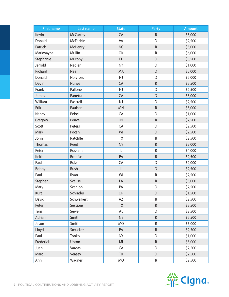| <b>First name</b> | <b>Last name</b> | <b>State</b> | Party       | <b>Amount</b> |
|-------------------|------------------|--------------|-------------|---------------|
| Kevin             | <b>McCarthy</b>  | CA           | ${\sf R}$   | \$5,000       |
| Donald            | McEachin         | VA           | D           | \$2,500       |
| Patrick           | McHenry          | <b>NC</b>    | ${\sf R}$   | \$5,000       |
| Markwayne         | Mullin           | OK           | ${\sf R}$   | \$6,000       |
| Stephanie         | Murphy           | FL.          | D           | \$3,500       |
| Jerrold           | Nadler           | <b>NY</b>    | D           | \$1,000       |
| Richard           | <b>Neal</b>      | MA           | D           | \$5,000       |
| Donald            | Norcross         | NJ           | D           | \$2,000       |
| Devin             | <b>Nunes</b>     | CA           | ${\sf R}$   | \$2,500       |
| Frank             | Pallone          | NJ           | D           | \$2,500       |
| James             | Panetta          | CA           | D           | \$3,000       |
| William           | Pascrell         | NJ           | D           | \$2,500       |
| Erik              | Paulsen          | <b>MN</b>    | ${\sf R}$   | \$5,000       |
| Nancy             | Pelosi           | CA           | D           | \$1,000       |
| Gregory           | Pence            | IN           | ${\sf R}$   | \$2,500       |
| Scott             | Peters           | CA           | D           | \$2,500       |
| Mark              | Pocan            | WI           | D           | \$2,500       |
| John              | Ratcliffe        | TX           | ${\sf R}$   | \$2,500       |
| <b>Thomas</b>     | Reed             | <b>NY</b>    | ${\sf R}$   | \$2,000       |
| Peter             | Roskam           | IL           | ${\sf R}$   | \$4,000       |
| Keith             | Rothfus          | PA           | ${\sf R}$   | \$2,500       |
| Raul              | Ruiz             | CA           | D           | \$2,000       |
| Bobby             | Rush             | IL           | D           | \$2,500       |
| Paul              | Ryan             | WI           | ${\sf R}$   | \$2,500       |
| Stephen           | <b>Scalise</b>   | LA           | ${\sf R}$   | \$5,000       |
| Mary              | Scanlon          | PA           | D           | \$2,500       |
| Kurt              | Schrader         | OR           | D           | \$1,500       |
| David             | Schweikert       | AZ           | R           | \$2,500       |
| Peter             | Sessions         | <b>TX</b>    | $\mathsf R$ | \$2,500       |
| Terri             | Sewell           | AL           | D           | \$2,500       |
| Adrian            | Smith            | <b>NE</b>    | ${\sf R}$   | \$2,500       |
| Jason             | Smith            | <b>MO</b>    | R           | \$5,000       |
| Lloyd             | Smucker          | PA           | $\mathsf R$ | \$2,500       |
| Paul              | Tonko            | <b>NY</b>    | D           | \$1,000       |
| Frederick         | Upton            | MI           | ${\sf R}$   | \$5,000       |
| Juan              | Vargas           | CA           | D           | \$2,500       |
| Marc              | Veasey           | <b>TX</b>    | D           | \$2,500       |
| Ann               | Wagner           | MO           | R           | \$2,500       |

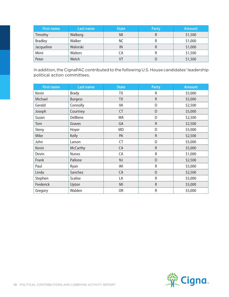| <b>First name</b> | Last name | <b>State</b> | <b>Party</b> | <b>Amount</b> |
|-------------------|-----------|--------------|--------------|---------------|
| Timothy           | Walberg   | MI           | R            | \$1,500       |
| <b>Bradley</b>    | Walker    | NС           | R            | \$1,000       |
| Jacqueline        | Walorski  | IN           | R            | \$1,000       |
| Mimi              | Walters   | СA           | R            | \$1,500       |
| Peter             | Welch     |              |              | \$1,500       |

In addition, the CignaPAC contributed to the following U.S. House candidates' leadership political action committees.

| <b>First name</b> | <b>Last name</b> | <b>State</b> | <b>Party</b> | <b>Amount</b> |
|-------------------|------------------|--------------|--------------|---------------|
| Kevin             | <b>Brady</b>     | TX           | R            | \$5,000       |
| Michael           | <b>Burgess</b>   | <b>TX</b>    | $\mathsf R$  | \$5,000       |
| Gerald            | Connolly         | VA           | D            | \$2,500       |
| Joseph            | Courtney         | <b>CT</b>    | D            | \$5,000       |
| Suzan             | DelBene          | <b>WA</b>    | D            | \$2,500       |
| Tom               | Graves           | GA           | $\mathsf R$  | \$2,500       |
| Steny             | Hoyer            | <b>MD</b>    | D            | \$5,000       |
| Mike              | Kelly            | PA           | ${\sf R}$    | \$2,500       |
| John              | Larson           | CT           | D            | \$5,000       |
| Kevin             | <b>McCarthy</b>  | CA           | $\mathsf R$  | \$5,000       |
| Devin             | <b>Nunes</b>     | CA           | R            | \$1,000       |
| Frank             | Pallone          | NJ           | D            | \$2,500       |
| Paul              | Ryan             | WI           | R            | \$5,000       |
| Linda             | Sanchez          | CA           | D            | \$2,500       |
| Stephen           | <b>Scalise</b>   | LA           | $\mathsf R$  | \$5,000       |
| Frederick         | Upton            | MI           | $\mathsf R$  | \$5,000       |
| Gregory           | Walden           | <b>OR</b>    | R            | \$5,000       |

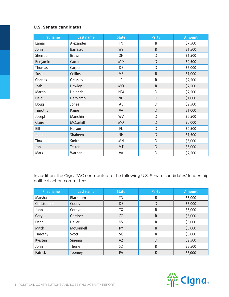#### **U.S. Senate candidates**

| <b>First name</b> | <b>Last name</b> | <b>State</b> | <b>Party</b> | <b>Amount</b> |
|-------------------|------------------|--------------|--------------|---------------|
| Lamar             | Alexander        | <b>TN</b>    | R            | \$7,500       |
| John              | Barrasso         | <b>WY</b>    | $\mathsf R$  | \$1,500       |
| Sherrod           | Brown            | OH           | D            | \$1,500       |
| Benjamin          | Cardin           | <b>MD</b>    | D            | \$2,500       |
| Thomas            | Carper           | DE           | D            | \$5,000       |
| Susan             | Collins          | <b>ME</b>    | $\mathsf R$  | \$1,000       |
| Charles           | Grassley         | IA           | R            | \$2,500       |
| Josh              | Hawley           | <b>MO</b>    | $\mathsf R$  | \$2,500       |
| Martin            | Heinrich         | <b>NM</b>    | D            | \$2,500       |
| Heidi             | Heitkamp         | <b>ND</b>    | D            | \$1,000       |
| Doug              | Jones            | AL           | D            | \$2,500       |
| Timothy           | Kaine            | VA           | D            | \$1,000       |
| Joseph            | Manchin          | <b>WV</b>    | D            | \$2,500       |
| Claire            | McCaskill        | <b>MO</b>    | D            | \$5,000       |
| Bill              | Nelson           | FL.          | D            | \$2,500       |
| Jeanne            | Shaheen          | <b>NH</b>    | D            | \$1,500       |
| Tina              | Smith            | <b>MN</b>    | D            | \$5,000       |
| Jon               | Tester           | <b>MT</b>    | D            | \$5,000       |
| Mark              | Warner           | VA           | D            | \$2,500       |

In addition, the CignaPAC contributed to the following U.S. Senate candidates' leadership political action committees.

| <b>First name</b> | Last name        | <b>State</b> | <b>Party</b> | <b>Amount</b> |
|-------------------|------------------|--------------|--------------|---------------|
| Marsha            | <b>Blackburn</b> | ΤN           | R            | \$5,000       |
| Christopher       | Coons            | DE           | D            | \$5,000       |
| John              | Cornyn           | TΧ           | R            | \$5,000       |
| Cory              | Gardner          | CO           | $\mathsf{R}$ | \$5,000       |
| Dean              | Heller           | <b>NV</b>    | R            | \$5,000       |
| Mitch             | McConnell        | KY           | $\mathsf{R}$ | \$5,000       |
| Timothy           | Scott            | SC           | R            | \$3,000       |
| Kyrsten           | Sinema           | <b>AZ</b>    | D            | \$2,500       |
| John              | Thune            | SD           | R            | \$2,500       |
| Patrick           | <b>Toomey</b>    | <b>PA</b>    | $\mathsf{R}$ | \$3,000       |

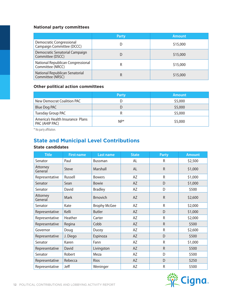#### **National party committees**

|                                                       | <b>Party</b> | <b>Amount</b> |
|-------------------------------------------------------|--------------|---------------|
| Democratic Congressional<br>Campaign Committee (DCCC) |              | \$15,000      |
| Democratic Senatorial Campaign<br>Committee (DSCC)    |              | \$15,000      |
| National Republican Congressional<br>Committee (NRCC) |              | \$15,000      |
| National Republican Senatorial<br>Committee (NRSC)    | R            | \$15,000      |

### **Other political action committees**

|                                                    | <b>Party</b> | <b>Amount</b> |
|----------------------------------------------------|--------------|---------------|
| New Democrat Coalition PAC                         |              | \$5,000       |
| Blue Dog PAC                                       |              | \$5,000       |
| Tuesday Group PAC                                  |              | \$5,000       |
| America's Health Insurance Plans<br>PAC (AHIP PAC) | $NP*$        | \$5,000       |

\* No party affiliation.

# **State and Municipal Level Contributions**

#### **State candidates**

| <b>Title</b>        | <b>First name</b> | <b>Last name</b>    | <b>State</b>      | <b>Party</b> | <b>Amount</b> |
|---------------------|-------------------|---------------------|-------------------|--------------|---------------|
| Senator             | Paul              | <b>Bussman</b>      | AL                | R            | \$2,500       |
| Attorney<br>General | <b>Steve</b>      | Marshall            | <b>AL</b>         | $\mathsf R$  | \$1,000       |
| Representative      | Russell           | <b>Bowers</b>       | AZ                | R            | \$1,000       |
| Senator             | Sean              | <b>Bowie</b>        | AZ                | D            | \$1,000       |
| Senator             | David             | <b>Bradley</b>      | AZ                | D            | \$500         |
| Attorney<br>General | Mark              | <b>Brnovich</b>     | AZ<br>$\mathsf R$ |              | \$2,600       |
| Senator             | Kate              | <b>Brophy McGee</b> | R<br>AZ           |              | \$2,000       |
| Representative      | Kelli             | <b>Butler</b>       | <b>AZ</b>         | D            | \$1,000       |
| Representative      | Heather           | Carter              | AZ                | R            | \$2,000       |
| Representative      | Regina            | Cobb                | AZ                | $\mathsf R$  | \$500         |
| Governor            | Doug              | Ducey               | AZ                | ${\sf R}$    | \$2,600       |
| Representative      | J. Diego          | Espinoza            | AZ                | D            | \$500         |
| Senator             | Karen             | Fann                | AZ                | R            | \$1,000       |
| Representative      | David             | Livingston          | <b>AZ</b>         | $\mathsf R$  | \$500         |
| Senator             | Robert            | Meza                | AZ                | D            | \$500         |
| Representative      | Rebecca           | Rios                | AZ                | D            | \$250         |
| Representative      | Jeff              | Weninger            | AZ                | R            | \$500         |

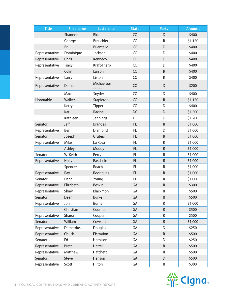| <b>Title</b>   | <b>First name</b> | <b>Last name</b>    | <b>State</b>      | <b>Party</b> | <b>Amount</b> |
|----------------|-------------------|---------------------|-------------------|--------------|---------------|
|                | Shannon           | <b>Bird</b>         | CO                | D            | \$400         |
|                | George            | <b>Brauchler</b>    | CO                | R            | \$1,150       |
|                | Bri               | <b>Buentello</b>    | CO                | D            | \$400         |
| Representative | Dominique         | Jackson             | C <sub>O</sub>    | D            | \$400         |
| Representative | Chris             | Kennedy             | CO                | D            | \$400         |
| Representative | <b>Tracy</b>      | Kraft-Tharp         | C <sub>O</sub>    | D            | \$400         |
|                | Colin             | Larson              | CO                | ${\sf R}$    | \$400         |
| Representative | Larry             | Liston              | C <sub>O</sub>    | ${\sf R}$    | \$400         |
| Representative | Dafna             | Michaelson<br>Jenet | CO                | D            | \$200         |
|                | Marc              | Snyder              | C <sub>O</sub>    | D            | \$400         |
| Honorable      | Walker            | Stapleton           | CO                | $\mathsf R$  | \$1,150       |
|                | Kerry             | <b>Tipper</b>       | CO                | D            | \$400         |
|                | Karl              | Racine              | DC                | D            | \$1,500       |
|                | Kathleen          | Jennings            | DE                | D            | \$1,200       |
| Senator        | Jeff              | <b>Brandes</b>      | <b>FL</b>         | ${\sf R}$    | \$1,000       |
| Representative | Ben               | Diamond             | <b>FL</b><br>D    |              | \$1,000       |
| Senator        | Joseph            | Gruters             | FL<br>$\mathsf R$ |              | \$1,000       |
| Representative | Mike              | La Rosa             | FL                | $\mathsf R$  | \$1,000       |
|                | Ashley            | Moody               | FL                | ${\sf R}$    | \$1,000       |
| Senator        | W. Keith          | Perry               | <b>FL</b>         | ${\sf R}$    | \$1,000       |
| Representative | Holly             | Raschein            | FL                | ${\sf R}$    | \$1,000       |
|                | Spencer           | Roach               | <b>FL</b>         | R            | \$1,000       |
| Representative | Ray               | Rodrigues           | FL                | $\mathsf R$  | \$1,000       |
| Senator        | Dana              | Young               | FL.               | R            | \$1,000       |
| Representative | Elizabeth         | <b>Beskin</b>       | GA                | ${\sf R}$    | \$300         |
| Representative | Shaw              | <b>Blackmon</b>     | GA                | ${\sf R}$    | \$500         |
| Senator        | Dean              | <b>Burke</b>        | GA                | ${\sf R}$    | \$500         |
| Representative | Jon               | <b>Burns</b>        | GA                | R            | \$1,000       |
|                | Christian         | Coomer              | GA                | ${\sf R}$    | \$500         |
| Representative | Sharon            | Cooper              | GA                | ${\sf R}$    | \$500         |
| Senator        | William           | Cowsert             | GA                | ${\sf R}$    | \$1,000       |
| Representative | Demetrius         | Douglas             | GA                | D            | \$250         |
| Representative | Chuck             | Efstration          | GA                | ${\sf R}$    | \$500         |
| Senator        | Ed                | Harbison            | GA                | D            | \$250         |
| Representative | <b>Brett</b>      | Harrell             | GA                | ${\sf R}$    | \$500         |
| Representative | Matthew           | Hatchett            | GA                | R            | \$500         |
| Senator        | Steve             | Henson              | GA                | D            | \$500         |
| Representative | Scott             | Hilton              | GA                | R            | \$300         |

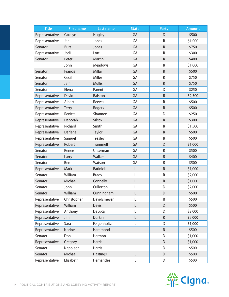| <b>Title</b>   | <b>First name</b> | <b>Last name</b> | <b>State</b>    | <b>Party</b> | <b>Amount</b> |
|----------------|-------------------|------------------|-----------------|--------------|---------------|
| Representative | Carolyn           | Hugley           | GA              | D            | \$500         |
| Representative | Jan               | Jones            | GA              | $\mathsf R$  | \$1,000       |
| Senator        | <b>Burt</b>       | Jones            | GA              | $\mathsf R$  | \$750         |
| Representative | Jodi              | Lott             | GA              | ${\sf R}$    | \$300         |
| Senator        | Peter             | Martin           | GA              | ${\sf R}$    | \$400         |
|                | John              | Meadows          | GA              | ${\sf R}$    | \$1,000       |
| Senator        | Francis           | Millar           | GA              | ${\sf R}$    | \$500         |
| Senator        | Cecil             | Miller           | GA              | $\mathsf R$  | \$750         |
| Senator        | Jeff              | <b>Mullis</b>    | GA              | ${\sf R}$    | \$750         |
| Senator        | Elena             | Parent           | GA              | D            | \$250         |
| Representative | David             | Ralston          | GA              | ${\sf R}$    | \$2,500       |
| Representative | Albert            | Reeves           | GA              | $\mathsf R$  | \$500         |
| Representative | <b>Terry</b>      | Rogers           | GA              | $\mathsf R$  | \$500         |
| Representative | Renitta           | Shannon          | GA              | D            | \$250         |
| Representative | Deborah           | Silcox           | GA              | ${\sf R}$    | \$300         |
| Representative | Richard           | Smith            | GA<br>${\sf R}$ |              | \$1,500       |
| Representative | Darlene           | Taylor           | ${\sf R}$<br>GA |              | \$500         |
| Representative | Samuel            | <b>Teasley</b>   | GA              |              | \$500         |
| Representative | Robert            | <b>Trammell</b>  | GA<br>D         |              | \$1,000       |
| Senator        | Renee             | Unterman         | GA              | $\mathsf R$  | \$500         |
| Senator        | Larry             | Walker           | GA              | ${\sf R}$    | \$400         |
| Senator        | Ben               | Watson           | GA              | ${\sf R}$    | \$500         |
| Representative | Mark              | <b>Batinick</b>  | IL              | ${\sf R}$    | \$1,000       |
| Senator        | William           | <b>Brady</b>     | IL              | ${\sf R}$    | \$2,000       |
| Senator        | Michael           | Connelly         | L               | $\mathsf R$  | \$1,000       |
| Senator        | John              | Cullerton        | IL              | D            | \$2,000       |
| Senator        | William           | Cunningham       | L               | D            | \$500         |
| Representative | Christopher       | Davidsmeyer      | IL              | R            | \$500         |
| Representative | William           | <b>Davis</b>     | L               | D            | \$500         |
| Representative | Anthony           | DeLuca           | IL              | D            | \$2,000       |
| Representative | Jim               | Durkin           | IL              | ${\sf R}$    | \$2,000       |
| Representative | Sara              | Feigenholtz      | IL              | D            | \$1,000       |
| Representative | Norine            | Hammond          | IL              | ${\sf R}$    | \$500         |
| Senator        | Don               | Harmon           | IL              | D            | \$1,000       |
| Representative | Gregory           | <b>Harris</b>    | IL.             | D            | \$1,000       |
| Senator        | Napoleon          | Harris           | IL              | D            | \$500         |
| Senator        | Michael           | <b>Hastings</b>  | IL              | D            | \$500         |
| Representative | Elizabeth         | Hernandez        | IL.             | D            | \$500         |

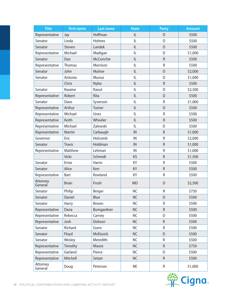| <b>Title</b>        | <b>First name</b> | <b>Last name</b>             | <b>State</b><br><b>Party</b> |              | <b>Amount</b> |
|---------------------|-------------------|------------------------------|------------------------------|--------------|---------------|
| Representative      | Jay               | Hoffman                      | IL                           | D            | \$500         |
| Senator             | Linda             | Holmes                       | IL                           | D            | \$500         |
| Senator             | Steven            | Landek                       | IL                           | D            | \$500         |
| Representative      | Michael           | Madigan                      | IL                           | D            | \$1,000       |
| Senator             | Dan               | McConchie                    | IL                           | $\mathsf{R}$ | \$500         |
| Representative      | Thomas            | Morrison                     | IL                           | $\mathsf R$  | \$500         |
| Senator             | John              | Mulroe                       | IL                           | D            | \$2,000       |
| Senator             | Antonio           | Munoz                        | IL                           | D            | \$1,000       |
|                     | Chris             | Nybo                         | L                            | ${\sf R}$    | \$500         |
| Senator             | Kwame             | Raoul                        | IL                           | D            | \$2,500       |
| Representative      | Robert            | Rita                         | IL                           | D            | \$500         |
| Senator             | Dave              | Syverson                     | IL                           | R            | \$1,000       |
| Representative      | Arthur            | Turner                       | IL                           | D            | \$500         |
| Representative      | Michael           | Unes                         | $\sf IL$                     | R            | \$500         |
| Representative      | Keith             | Wheeler                      | L                            | ${\sf R}$    | \$500         |
| Representative      | Michael           | Zalewski                     | IL                           | D            | \$500         |
| Representative      | Martin            | Carbaugh                     | IN<br>$\mathsf R$            |              | \$1,000       |
| Governor            | Eric              | Holcomb<br>$\mathsf R$<br>IN |                              | \$2,000      |               |
| Senator             | <b>Travis</b>     | Holdman                      | IN                           | $\mathsf R$  | \$1,000       |
| Representative      | Matthew           | Lehman                       | IN                           | ${\sf R}$    | \$1,000       |
|                     | Vicki             | Schmidt                      | KS                           | ${\sf R}$    | \$1,500       |
| Senator             | Ernie             | <b>Harris</b>                | KY                           | $\mathsf R$  | \$500         |
| Senator             | Alice             | Kerr                         | KY                           | ${\sf R}$    | \$500         |
| Representative      | Bart              | Rowland                      | KY                           | R            | \$500         |
| Attorney<br>General | <b>Brian</b>      | Frosh                        | <b>MD</b>                    | D            | \$2,500       |
| Senator             | Philip            | Berger                       | <b>NC</b>                    | ${\sf R}$    | \$750         |
| Senator             | Daniel            | Blue                         | <b>NC</b>                    | D            | \$500         |
| Senator             | Harry             | Brown                        | <b>NC</b>                    | R            | \$500         |
| Representative      | Dana              | Bumgardner                   | <b>NC</b>                    | $\mathsf R$  | \$500         |
| Representative      | Rebecca           | Carney                       | <b>NC</b>                    | D            | \$500         |
| Representative      | Josh              | Dobson                       | <b>NC</b>                    | ${\sf R}$    | \$500         |
| Senator             | Richard           | Gunn                         | <b>NC</b>                    | R            | \$500         |
| Senator             | Floyd             | <b>McKissick</b>             | <b>NC</b>                    | D            | \$500         |
| Senator             | Wesley            | Meredith                     | <b>NC</b>                    | R            | \$500         |
| Representative      | Timothy           | Moore                        | <b>NC</b>                    | ${\sf R}$    | \$750         |
| Representative      | Garland           | Pierce                       | <b>NC</b>                    | D            | \$500         |
| Representative      | Mitchell          | Setzer                       | <b>NC</b>                    | ${\sf R}$    | \$500         |
| Attorney<br>General | Doug              | Peterson                     | <b>NE</b>                    | R            | \$1,000       |

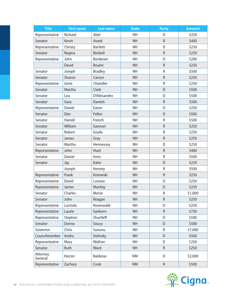| <b>Title</b>        | <b>First name</b> | <b>Last name</b> | <b>State</b><br><b>Party</b> |             | <b>Amount</b> |
|---------------------|-------------------|------------------|------------------------------|-------------|---------------|
| Representative      | Richard           | Abel             | <b>NH</b>                    | D           | \$250         |
| Senator             | Kevin             | Avard            | <b>NH</b>                    | $\mathsf R$ | \$400         |
| Representative      | Christy           | <b>Bartlett</b>  | <b>NH</b>                    | D           | \$250         |
| Senator             | Regina            | Birdsell         | <b>NH</b>                    | $\mathsf R$ | \$250         |
| Representative      | John              | <b>Bordenet</b>  | <b>NH</b>                    | D           | \$200         |
|                     | David             | <b>Boutin</b>    | <b>NH</b>                    | ${\sf R}$   | \$250         |
| Senator             | Joseph            | <b>Bradley</b>   | <b>NH</b>                    | $\mathsf R$ | \$500         |
| Senator             | Sharon            | Carson           | <b>NH</b>                    | $\mathsf R$ | \$250         |
| Representative      | Gene              | Chandler         | <b>NH</b>                    | R           | \$250         |
| Senator             | Martha            | Clark            | <b>NH</b>                    | D           | \$500         |
| Senator             | Lou               | D'Allesandro     | <b>NH</b>                    | D           | \$500         |
| Senator             | Gary              | <b>Daniels</b>   | <b>NH</b>                    | $\mathsf R$ | \$500         |
| Representative      | Daniel            | Eaton            | <b>NH</b>                    | D           | \$250         |
| Senator             | Dan               | Feltes           | <b>NH</b>                    | D           | \$500         |
| Senator             | Harold            | French           | <b>NH</b>                    | R           | \$500         |
| Senator             | William           | Gannon           | <b>NH</b><br>${\sf R}$       |             | \$250         |
| Senator             | Robert            | Giuda            | <b>NH</b>                    | ${\sf R}$   | \$250         |
| Senator             | James             | Gray             | <b>NH</b>                    | ${\sf R}$   | \$250         |
| Senator             | Martha            | Hennessey        | <b>NH</b>                    | D           | \$250         |
| Representative      | John              | Hunt             | <b>NH</b>                    | $\mathsf R$ | \$400         |
| Senator             | Daniel            | Innis            | <b>NH</b>                    | R           | \$500         |
| Senator             | Jay               | Kahn             | <b>NH</b>                    | D           | \$250         |
|                     | Joseph            | Kenney           | <b>NH</b>                    | ${\sf R}$   | \$500         |
| Representative      | Frank             | Kotowski         | <b>NH</b>                    | ${\sf R}$   | \$250         |
| Representative      | David             | Luneau           | <b>NH</b>                    | D           | \$250         |
| Representative      | James             | MacKay           | <b>NH</b>                    | D           | \$250         |
| Senator             | Charles           | Morse            | <b>NH</b>                    | ${\sf R}$   | \$1,000       |
| Senator             | John              | Reagan           | <b>NH</b>                    | R           | \$250         |
| Representative      | Lucinda           | Rosenwald        | <b>NH</b>                    | D           | \$250         |
| Representative      | Laurie            | Sanborn          | <b>NH</b>                    | ${\sf R}$   | \$750         |
| Representative      | Stephen           | Shurtleff        | <b>NH</b>                    | D           | \$500         |
| Senator             | Donna             | Soucy            | <b>NH</b>                    | D           | \$500         |
| Governor            | Chris             | Sununu           | <b>NH</b>                    | R           | \$7,000       |
| Councilmember       | Andru             | Volinsky         | <b>NH</b>                    | D           | \$500         |
| Representative      | Mary              | Wallner          | <b>NH</b>                    | D           | \$250         |
| Senator             | Ruth              | Ward             | <b>NH</b>                    | ${\sf R}$   | \$250         |
| Attorney<br>General | Hector            | <b>Balderas</b>  | <b>NM</b>                    | D           | \$2,000       |
| Representative      | Zachary           | Cook             | <b>NM</b>                    | ${\sf R}$   | \$500         |

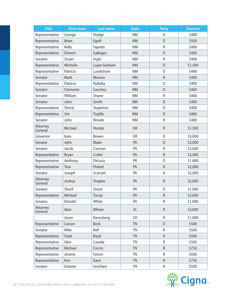| <b>Title</b>        | <b>First name</b> | <b>Last name</b> | <b>State</b><br><b>Party</b> |             | <b>Amount</b> |
|---------------------|-------------------|------------------|------------------------------|-------------|---------------|
| Representative      | George            | Dodge            | <b>NM</b>                    | D           | \$400         |
| Representative      | <b>Brian</b>      | Egolf            | <b>NM</b>                    | D           | \$500         |
| Representative      | Kelly             | Fajardo          | <b>NM</b>                    | $\mathsf R$ | \$400         |
| Representative      | Doreen            | Gallegos         | <b>NM</b>                    | D           | \$400         |
| Senator             | Stuart            | Ingle            | <b>NM</b>                    | R           | \$400         |
| Representative      | Michelle          | Lujan Grisham    | <b>NM</b>                    | D           | \$1,500       |
| Representative      | Patricia          | Lundstrom        | <b>NM</b>                    | D           | \$400         |
| Senator             | Mark              | <b>Moores</b>    | <b>NM</b>                    | ${\sf R}$   | \$400         |
| Representative      | Patricio          | Ruiloba          | <b>NM</b>                    | D           | \$400         |
| Senator             | Clemente          | Sanchez          | <b>NM</b>                    | D           | \$400         |
| Senator             | William           | Sharer           | <b>NM</b>                    | R           | \$400         |
| Senator             | John              | Smith            | <b>NM</b>                    | D           | \$400         |
| Representative      | Sheryl            | Stapleton        | <b>NM</b>                    | D           | \$400         |
| Representative      | Jim               | Trujillo         | <b>NM</b>                    | D           | \$400         |
| Senator             | John              | Woods            | <b>NM</b>                    | ${\sf R}$   | \$400         |
| Attorney<br>General | Michael           | Hunter           | OK                           | $\mathsf R$ | \$1,500       |
| Governor            | Kate              | Brown            | <b>OR</b><br>D               |             | \$5,000       |
| Senator             | John              | <b>Blake</b>     | PA                           | D           | \$2,000       |
| Senator             | Jacob             | Corman           | PA                           | ${\sf R}$   | \$2,000       |
| Representative      | <b>Bryan</b>      | Cutler           | PA                           | ${\sf R}$   | \$2,000       |
| Representative      | Anthony           | DeLuca           | PA                           | D           | \$1,000       |
| Representative      | Tina              | Pickett          | PA                           | ${\sf R}$   | \$2,000       |
| Senator             | Joseph            | Scarnati         | PA                           | $\sf R$     | \$2,000       |
| Attorney<br>General | Joshua            | Shapiro          | PA                           | D           | \$2,000       |
| Senator             | Sharif            | <b>Street</b>    | PA                           | D           | \$1,000       |
| Representative      | Michael           | Turzai           | PA                           | ${\sf R}$   | \$2,000       |
| Senator             | Donald            | White            | PA                           | R           | \$1,000       |
| Attorney<br>General | Alan              | Wilson           | SC                           | $\mathsf R$ | \$2,000       |
|                     | Jason             | Ravnsborg        | SD                           | R           | \$1,000       |
| Representative      | Carson            | <b>Beck</b>      | <b>TN</b>                    | D           | \$500         |
| Senator             | Mike              | Bell             | <b>TN</b>                    | R           | \$500         |
| Representative      | Clark             | Boyd             | <b>TN</b>                    | $\mathsf R$ | \$500         |
| Representative      | Glen              | Casada           | <b>TN</b>                    | R           | \$500         |
| Representative      | Michael           | Curcio           | <b>TN</b>                    | ${\sf R}$   | \$750         |
| Representative      | Jeremy            | Faison           | <b>TN</b>                    | $\mathsf R$ | \$500         |
| Representative      | Ron               | Gant             | <b>TN</b>                    | R           | \$750         |
| Senator             | Dolores           | Gresham          | <b>TN</b>                    | R           | \$500         |

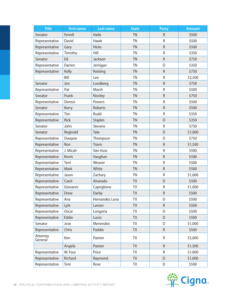| <b>Title</b>        | <b>First name</b> | <b>State</b><br><b>Last name</b> |                | <b>Party</b> | <b>Amount</b> |
|---------------------|-------------------|----------------------------------|----------------|--------------|---------------|
| Senator             | Ferrell           | Haile                            | <b>TN</b>      | $\mathsf R$  | \$500         |
| Representative      | David             | <b>Hawk</b>                      | <b>TN</b>      | R            | \$500         |
| Representative      | Gary              | <b>Hicks</b>                     | <b>TN</b>      | ${\sf R}$    | \$500         |
| Representative      | Timothy           | Hill                             | <b>TN</b>      | ${\sf R}$    | \$350         |
| Senator             | Ed                | Jackson                          | <b>TN</b>      | $\mathsf R$  | \$750         |
| Representative      | Darren            | Jernigan                         | <b>TN</b>      | D            | \$350         |
| Representative      | Kelly             | Keisling                         | <b>TN</b>      | $\mathsf R$  | \$750         |
|                     | Bill              | Lee                              | TN             | R            | \$2,500       |
| Senator             | Jon               | Lundberg                         | <b>TN</b>      | ${\sf R}$    | \$750         |
| Representative      | Pat               | Marsh                            | TN             | R            | \$500         |
| Senator             | Frank             | Niceley                          | <b>TN</b>      | ${\sf R}$    | \$750         |
| Representative      | Dennis            | Powers                           | <b>TN</b>      | R            | \$500         |
| Senator             | Kerry             | Roberts                          | <b>TN</b>      | $\mathsf R$  | \$500         |
| Representative      | Tim               | Rudd                             | TN             | R            | \$350         |
| Representative      | Rick              | <b>Staples</b>                   | <b>TN</b>      | D            | \$350         |
| Senator             | John              | Stevens                          | <b>TN</b>      | ${\sf R}$    | \$750         |
| Senator             | Reginald          | Tate                             | <b>TN</b><br>D |              | \$1,000       |
| Representative      | Dwayne            | <b>TN</b><br>D<br>Thompson       |                |              | \$750         |
| Representative      | Ron               | <b>Travis</b>                    | <b>TN</b>      | $\mathsf R$  | \$1,500       |
| Representative      | J. Micah          | Van Huss                         | TN             | ${\sf R}$    | \$500         |
| Representative      | Kevin             | Vaughan                          | <b>TN</b>      | ${\sf R}$    | \$500         |
| Representative      | Terri             | Weaver                           | TN             | R            | \$500         |
| Representative      | Mark              | White                            | <b>TN</b>      | ${\sf R}$    | \$500         |
| Representative      | Jason             | Zachary                          | <b>TN</b>      | R            | \$1,000       |
| Representative      | Carol             | Alvarado                         | <b>TX</b>      | D            | \$500         |
| Representative      | Giovanni          | Capriglione                      | <b>ΤΧ</b>      | ${\sf R}$    | \$1,000       |
| Representative      | Drew              | Darby                            | TX             | ${\sf R}$    | \$500         |
| Representative      | Ana               | Hernandez Luna                   | TX             | D            | \$500         |
| Representative      | Lyle              | Larson                           | TX             | ${\sf R}$    | \$500         |
| Representative      | Oscar             | Longoria                         | <b>TX</b>      | D            | \$500         |
| Representative      | Eddie             | Lucio                            | <b>TX</b>      | D            | \$500         |
| Senator             | Jose              | Menendez                         | TX             | D            | \$1,000       |
| Representative      | Chris             | Paddie                           | <b>TX</b>      | $\mathsf R$  | \$500         |
| Attorney<br>General | Ken               | Paxton                           | TΧ             | R            | \$5,000       |
|                     | Angela            | Paxton                           | <b>TX</b>      | ${\sf R}$    | \$1,500       |
| Representative      | W. Four           | Price                            | TX             | ${\sf R}$    | \$1,000       |
| Representative      | Richard           | Raymond                          | <b>TX</b>      | D            | \$1,000       |
| Representative      | Toni              | Rose                             | TX             | D            | \$500         |

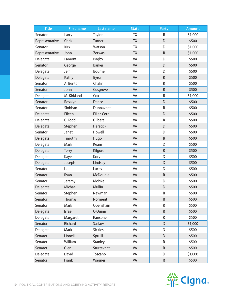| <b>Title</b>   | <b>First name</b> | <b>Last name</b> | <b>State</b><br>Party |             | <b>Amount</b> |
|----------------|-------------------|------------------|-----------------------|-------------|---------------|
| Senator        | Larry             | Taylor           | <b>TX</b>             | R           | \$1,000       |
| Representative | Chris             | Turner           | <b>TX</b>             | D           | \$500         |
| Senator        | Kirk              | Watson           | TX                    | D           | \$1,000       |
| Representative | John              | Zerwas           | <b>TX</b>             | ${\sf R}$   | \$1,000       |
| Delegate       | Lamont            | <b>Bagby</b>     | VA                    | D           | \$500         |
| Senator        | George            | <b>Barker</b>    | VA                    | D           | \$500         |
| Delegate       | Jeff              | Bourne           | VA                    | D           | \$500         |
| Delegate       | Kathy             | Byron            | VA                    | ${\sf R}$   | \$500         |
| Senator        | A. Benton         | Chafin           | VA                    | ${\sf R}$   | \$500         |
| Senator        | John              | Cosgrove         | VA                    | ${\sf R}$   | \$500         |
| Delegate       | M. Kirkland       | Cox              | VA                    | $\mathsf R$ | \$1,000       |
| Senator        | Rosalyn           | Dance            | VA                    | D           | \$500         |
| Senator        | Siobhan           | Dunnavant        | VA                    | $\mathsf R$ | \$500         |
| Delegate       | Eileen            | Filler-Corn      | VA                    | D           | \$500         |
| Delegate       | C. Todd           | Gilbert          | VA                    | ${\sf R}$   | \$500         |
| Delegate       | Stephen           | <b>Heretick</b>  | VA<br>D               |             | \$500         |
| Senator        | Janet             | Howell           | VA<br>D               |             | \$500         |
| Delegate       | Timothy           | Hugo             | VA                    | ${\sf R}$   | \$500         |
| Delegate       | Mark              | Keam             | VA<br>D               |             | \$500         |
| Delegate       | <b>Terry</b>      | Kilgore          | VA                    | ${\sf R}$   | \$500         |
| Delegate       | Kaye              | Kory             | VA                    | D           | \$500         |
| Delegate       | Joseph            | Lindsey          | VA                    | D           | \$500         |
| Senator        | L.                | Lucas            | VA                    | D           | \$500         |
| Senator        | Ryan              | McDougle         | VA                    | ${\sf R}$   | \$500         |
| Senator        | Jeremy            | <b>McPike</b>    | VA                    | D           | \$500         |
| Delegate       | Michael           | Mullin           | VA                    | D           | \$500         |
| Senator        | Stephen           | Newman           | VA                    | ${\sf R}$   | \$500         |
| Senator        | <b>Thomas</b>     | Norment          | VA                    | R           | \$500         |
| Senator        | Mark              | Obenshain        | VA                    | R           | \$500         |
| Delegate       | Israel            | O'Quinn          | VA                    | $\mathsf R$ | \$500         |
| Delegate       | Margaret          | Ransone          | VA                    | R           | \$500         |
| Senator        | Richard           | Saslaw           | VA                    | D           | \$1,000       |
| Delegate       | Mark              | <b>Sickles</b>   | VA                    | D           | \$500         |
| Senator        | Lionell           | Spruill          | VA                    | D           | \$500         |
| Senator        | William           | Stanley          | VA                    | R           | \$500         |
| Senator        | Glen              | Sturtevant       | VA                    | ${\sf R}$   | \$500         |
| Delegate       | David             | Toscano          | VA                    | D           | \$1,000       |
| Senator        | Frank             | Wagner           | VA                    | $\mathsf R$ | \$500         |

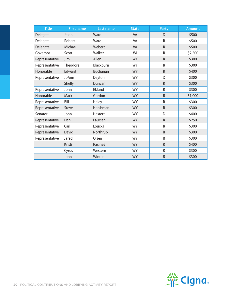| <b>Title</b>   | <b>First name</b> | <b>Last name</b> | <b>State</b> | <b>Party</b> | <b>Amount</b> |
|----------------|-------------------|------------------|--------------|--------------|---------------|
| Delegate       | Jeion             | Ward             | <b>VA</b>    | D            | \$500         |
| Delegate       | Robert            | Ware             | VA           | R            | \$500         |
| Delegate       | Michael           | Webert           | <b>VA</b>    | $\mathsf R$  | \$500         |
| Governor       | Scott             | Walker           | WI           | R            | \$2,500       |
| Representative | Jim               | Allen            | <b>WY</b>    | $\mathsf R$  | \$300         |
| Representative | Theodore          | Blackburn        | <b>WY</b>    | $\mathsf R$  | \$300         |
| Honorable      | Edward            | Buchanan         | <b>WY</b>    | $\mathsf R$  | \$400         |
| Representative | JoAnn             | Dayton           | <b>WY</b>    | D            | \$300         |
|                | Shelly            | Duncan           | <b>WY</b>    | $\mathsf{R}$ | \$300         |
| Representative | John              | Eklund           | <b>WY</b>    | R            | \$300         |
| Honorable      | Mark              | Gordon           | <b>WY</b>    | $\mathsf R$  | \$1,000       |
| Representative | Bill              | Haley            | <b>WY</b>    | $\mathsf R$  | \$300         |
| Representative | <b>Steve</b>      | Harshman         | <b>WY</b>    | $\mathsf R$  | \$300         |
| Senator        | John              | Hastert          | <b>WY</b>    | D            | \$400         |
| Representative | Dan               | Laursen          | <b>WY</b>    | $\mathsf R$  | \$250         |
| Representative | Carl              | Loucks           | <b>WY</b>    | $\mathsf{R}$ | \$300         |
| Representative | David             | Northrup         | <b>WY</b>    | $\mathsf R$  | \$300         |
| Representative | Jared             | Olsen            | <b>WY</b>    | R            | \$300         |
|                | Kristi            | <b>Racines</b>   | <b>WY</b>    | $\mathsf{R}$ | \$400         |
|                | Cyrus             | Western          | <b>WY</b>    | $\mathsf R$  | \$300         |
|                | John              | Winter           | <b>WY</b>    | $\mathsf R$  | \$300         |

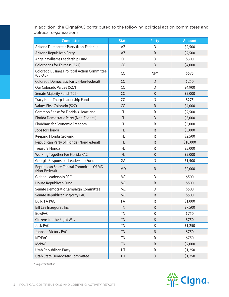In addition, the CignaPAC contributed to the following political action committees and political organizations.

| <b>Committee</b>                                               | <b>State</b>   | <b>Party</b> | <b>Amount</b> |
|----------------------------------------------------------------|----------------|--------------|---------------|
| Arizona Democratic Party (Non-Federal)                         | AZ             | D            | \$2,500       |
| Arizona Republican Party                                       | AZ             | $\mathsf R$  | \$2,500       |
| Angela Williams Leadership Fund                                | C <sub>O</sub> | D            | \$300         |
| Coloradans for Fairness (527)                                  | CO             | D            | \$4,000       |
| <b>Colorado Business Political Action Committee</b><br>(CBPAC) | C <sub>O</sub> | $NP*$        | \$575         |
| Colorado Democratic Party (Non-Federal)                        | CO             | D            | \$250         |
| Our Colorado Values (527)                                      | C <sub>O</sub> | D            | \$4,900       |
| Senate Majority Fund (527)                                     | CO             | R            | \$5,000       |
| Tracy Kraft-Tharp Leadership Fund                              | CO             | D            | \$275         |
| Values First Colorado (527)                                    | C <sub>O</sub> | $\mathsf R$  | \$4,000       |
| Common Sense for Florida's Heartland                           | FL             | R            | \$2,500       |
| Florida Democratic Party (Non-Federal)                         | FL             | D            | \$5,000       |
| Floridians for Economic Freedom                                | FL             | R            | \$5,000       |
| Jobs for Florida                                               | FL             | R            | \$5,000       |
| Keeping Florida Growing                                        | <b>FL</b>      | R            | \$2,500       |
| Republican Party of Florida (Non-Federal)                      | <b>FL</b>      | $\mathsf R$  | \$10,000      |
| <b>Treasure Florida</b>                                        | FL             | R            | \$5,000       |
| Working Together For Florida PAC                               | FL             | $\mathsf{R}$ | \$5,000       |
| Georgia Responsible Leadership Fund                            | GA             | D            | \$1,500       |
| Republican State Central Committee Of MD<br>(Non-Federal)      | <b>MD</b>      | $\mathsf R$  | \$2,000       |
| Gideon Leadership PAC                                          | <b>ME</b>      | D            | \$500         |
| House Republican Fund                                          | <b>ME</b>      | $\mathsf R$  | \$500         |
| Senate Democratic Campaign Committee                           | <b>ME</b>      | D            | \$500         |
| Senate Republican Majority PAC                                 | <b>ME</b>      | $\mathsf R$  | \$500         |
| <b>Build PA PAC</b>                                            | PA             | R            | \$1,000       |
| Bill Lee Inaugural, Inc.                                       | TN             | ${\sf R}$    | \$7,500       |
| <b>BowPAC</b>                                                  | <b>TN</b>      | R            | \$750         |
| Citizens for the Right Way                                     | <b>TN</b>      | ${\sf R}$    | \$750         |
| Jack-PAC                                                       | TN             | R            | \$1,250       |
| Johnson Victory PAC                                            | <b>TN</b>      | R            | \$750         |
| <b>KEYPAC</b>                                                  | <b>TN</b>      | R            | \$750         |
| <b>McPAC</b>                                                   | <b>TN</b>      | $\mathsf R$  | \$2,000       |
| Utah Republican Party                                          | UT             | R            | \$1,250       |
| Utah State Democratic Committee                                | UT             | D            | \$1,250       |

\* No party affiliation.

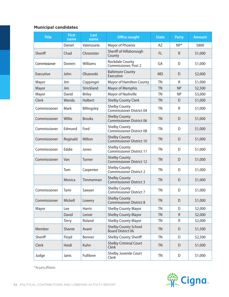#### **Municipal candidates**

| <b>Title</b> | <b>First</b><br>name | Last<br>name    | <b>Office sought</b>                                    | <b>State</b> | <b>Party</b> | <b>Amount</b> |
|--------------|----------------------|-----------------|---------------------------------------------------------|--------------|--------------|---------------|
|              | Daniel               | Valenzuela      | Mayor of Phoenix                                        | AZ           | $NP*$        | \$800         |
| Sheriff      | Chad                 | Chronister      | Sheriff of Hillsborough<br>County                       | <b>FL</b>    | R.           | \$1,000       |
| Commissioner | Doreen               | <b>Williams</b> | <b>Rockdale County</b><br>Commissioner, Post 2          | GA           | D            | \$1,000       |
| Executive    | John                 | Olszewski       | <b>Baltimore County</b><br>Executive                    | <b>MD</b>    | D            | \$2,000       |
| Mayor        | Jim                  | Coppinger       | <b>Mayor of Hamilton County</b>                         | <b>TN</b>    | R            | \$1,000       |
| Mayor        | Jim                  | Strickland      | <b>Mayor of Memphis</b>                                 | <b>TN</b>    | <b>NP</b>    | \$2,500       |
| Mayor        | David                | <b>Briley</b>   | Mayor of Nashville                                      | <b>TN</b>    | <b>NP</b>    | \$3,000       |
| Clerk        | Wanda                | Halbert         | <b>Shelby County Clerk</b>                              | <b>TN</b>    | D            | \$1,000       |
| Commissioner | <b>Mark</b>          | Billingsley     | <b>Shelby County</b><br><b>Commissioner District 04</b> | <b>TN</b>    | R            | \$1,000       |
| Commissioner | Willie               | <b>Brooks</b>   | <b>Shelby County</b><br><b>Commissioner District 06</b> | <b>TN</b>    | D            | \$1,000       |
| Commissioner | Edmund               | Ford            | <b>Shelby County</b><br>Commissioner District 08        | <b>TN</b>    | D            | \$1,000       |
| Commissioner | Reginald             | Milton          | <b>Shelby County</b><br><b>Commissioner District 10</b> | <b>TN</b>    | D            | \$1,000       |
| Commissioner | Eddie                | Jones           | <b>Shelby County</b><br><b>Commissioner District 11</b> | <b>TN</b>    | D            | \$1,000       |
| Commissioner | Van                  | <b>Turner</b>   | <b>Shelby County</b><br><b>Commissioner District 12</b> | <b>TN</b>    | D            | \$1,000       |
|              | Tom                  | Carpenter       | <b>Shelby County</b><br><b>Commissioner District 2</b>  | <b>TN</b>    | D            | \$1,000       |
|              | Monica               | Timmerman       | <b>Shelby County</b><br><b>Commissioner District 3</b>  | <b>TN</b>    | D            | \$1,000       |
| Commissioner | Tami                 | Sawyer          | <b>Shelby County</b><br><b>Commissioner District 7</b>  | <b>TN</b>    | D            | \$1,000       |
| Commissioner | Mickell              | Lowery          | <b>Shelby County</b><br><b>Commissioner District 8</b>  | <b>TN</b>    | D            | \$1,000       |
| Mayor        | Lee                  | <b>Harris</b>   | <b>Shelby County Mayor</b>                              | <b>TN</b>    | D            | \$2,000       |
|              | David                | Lenoir          | <b>Shelby County Mayor</b>                              | <b>TN</b>    | R            | \$2,000       |
|              | Terry                | Roland          | <b>Shelby County Mayor</b>                              | <b>TN</b>    | R            | \$2,000       |
| Member       | Shante               | Avant           | <b>Shelby County School</b><br>Board District 06        | <b>TN</b>    | D            | \$1,500       |
| Sheriff      | Floyd                | Bonner          | <b>Shelby County Sheriff</b>                            | <b>TN</b>    | D            | \$2,500       |
| Clerk        | Heidi                | Kuhn            | <b>Shelby Criminal Court</b><br>Clerk                   | <b>TN</b>    | D            | \$1,000       |
| Judge        | Janis                | Fullilove       | Shelby Juvenile Court<br>Clerk                          | <b>TN</b>    | D            | \$1,000       |

\* No party affiliation.

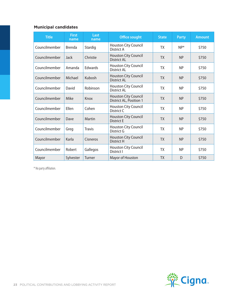#### **Municipal candidates**

| <b>Title</b>  | <b>First</b><br>name | Last<br>name  | <b>Office sought</b>                                   | <b>State</b> | <b>Party</b> | <b>Amount</b> |
|---------------|----------------------|---------------|--------------------------------------------------------|--------------|--------------|---------------|
| Councilmember | <b>Brenda</b>        | Stardig       | Houston City Council<br>District A                     | <b>TX</b>    | $NP*$        | \$750         |
| Councilmember | Jack                 | Christie      | <b>Houston City Council</b><br><b>District AL</b>      | <b>TX</b>    | <b>NP</b>    | \$750         |
| Councilmember | Amanda               | Edwards       | <b>Houston City Council</b><br>District AL             | <b>TX</b>    | <b>NP</b>    | \$750         |
| Councilmember | Michael              | Kubosh        | <b>Houston City Council</b><br>District AL             | <b>TX</b>    | <b>NP</b>    | \$750         |
| Councilmember | David                | Robinson      | Houston City Council<br>District AL                    | <b>TX</b>    | <b>NP</b>    | \$750         |
| Councilmember | Mike                 | Knox          | <b>Houston City Council</b><br>District AL, Position 1 | <b>TX</b>    | <b>NP</b>    | \$750         |
| Councilmember | Ellen                | Cohen         | Houston City Council<br>District C                     | TX           | <b>NP</b>    | \$750         |
| Councilmember | Dave                 | <b>Martin</b> | Houston City Council<br><b>District E</b>              | <b>TX</b>    | <b>NP</b>    | \$750         |
| Councilmember | Greg                 | <b>Travis</b> | Houston City Council<br>District G                     | <b>TX</b>    | <b>NP</b>    | \$750         |
| Councilmember | Karla                | Cisneros      | <b>Houston City Council</b><br><b>District H</b>       | <b>TX</b>    | <b>NP</b>    | \$750         |
| Councilmember | Robert               | Gallegos      | Houston City Council<br>District I                     | TX           | <b>NP</b>    | \$750         |
| Mayor         | Sylvester            | <b>Turner</b> | Mayor of Houston                                       | <b>TX</b>    | D            | \$750         |

\* No party affiliation.